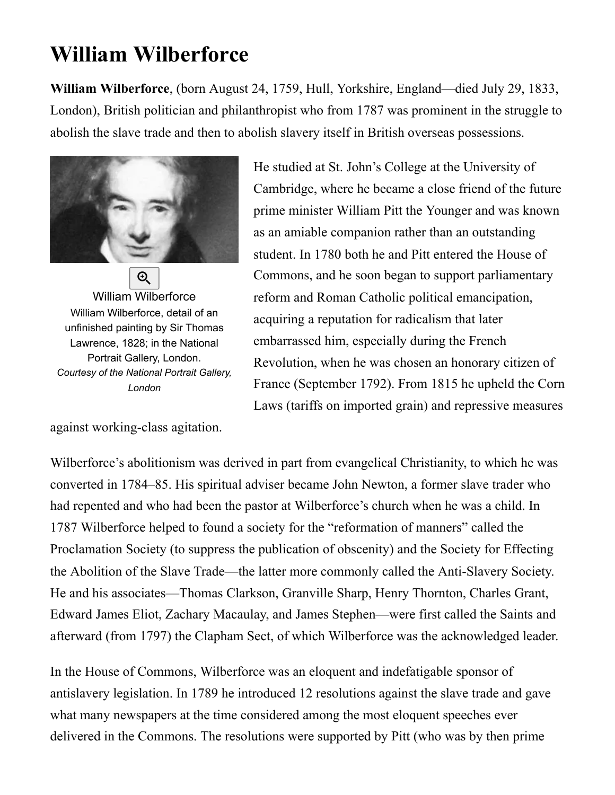## **William Wilberforce**

**William Wilberforce**, (born August 24, 1759, Hull, Yorkshire, England—died July 29, 1833, London), British politician and philanthropist who from 1787 was prominent in the struggle to abolish the slave trade and then to abolish [slavery](https://www.britannica.com/) itself in British overseas possessions.



[William Wilberforce](https://cdn.britannica.com/23/40523-004-F560A60E/William-Wilberforce-Thomas-Lawrence-detail-painting-National-1828.jpg) William Wilberforce, detail of an unfinished painting by Sir Thomas Lawrence, 1828; in the National Portrait Gallery, London. *Courtesy of the National Portrait Gallery, London*

against working-class agitation.

He studied at St. John's College at the University of Cambridge, where he became a close friend of the future prime minister [William Pitt the Younger](https://www.britannica.com/) and was known as an amiable companion rather than an outstanding student. In 1780 both he and Pitt entered the House of Commons, and he soon began to support parliamentary reform and Roman Catholic political emancipation, acquiring a reputation for radicalism that later embarrassed him, especially during the French Revolution, when he was chosen an honorary citizen of [France \(September 1792\). From 1815 he upheld the Corn](https://www.britannica.com/) Laws (tariffs on imported grain) and repressive measures

Wilberforce's abolitionism was derived in part from evangelical Christianity, to which he was converted in 1784–85. His spiritual adviser became John Newton, a former slave trader who had repented and who had been the pastor at Wilberforce's church when he was a child. In 1787 Wilberforce helped to found a society for the "reformation of manners" called the Proclamation Society (to suppress the publication of obscenity) and the Society for Effecting the Abolition of the Slave Trade—the latter more commonly called the Anti-Slavery Society. He and his associates[—Thomas Clarkson](https://www.britannica.com/), [Granville Sharp, Henry Thornton,](https://www.britannica.com/) Charles Grant, Edward James Eliot, Zachary Macaulay, and James Stephen—were first called the Saints and afterward (from 1797) the [Clapham Sect](https://www.britannica.com/), of which Wilberforce was the acknowledged leader.

In the House of Commons, Wilberforce was an eloquent and indefatigable sponsor of antislavery legislation. In 1789 he introduced 12 resolutions against the slave trade and gave what many newspapers at the time considered among the most eloquent speeches ever delivered in the Commons. The resolutions were supported by Pitt (who was by then prime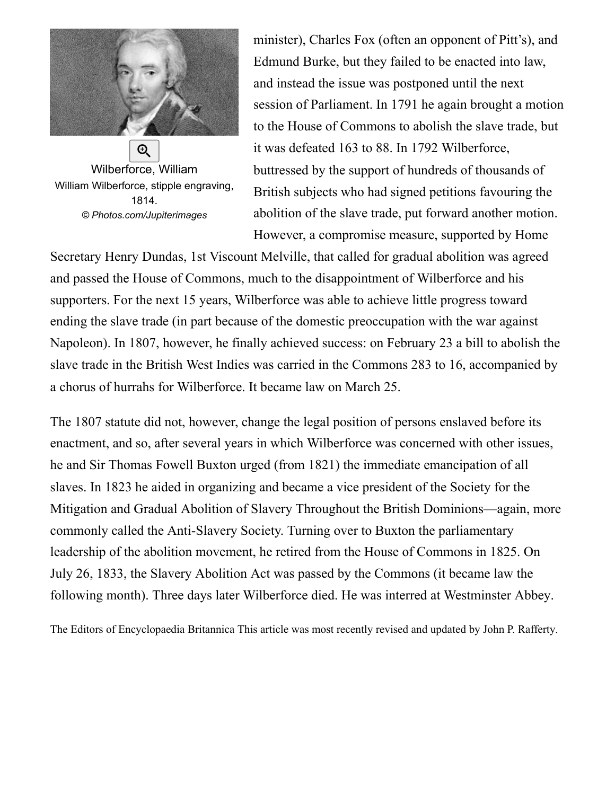

[Wilberforce, William](https://cdn.britannica.com/53/131453-050-CE06319A/William-Wilberforce-stipple-engraving-1814.jpg) William Wilberforce, stipple engraving, 1814. *© Photos.com/Jupiterimages*

minister), [Charles Fox](https://www.britannica.com/) (often an opponent of Pitt's), and [Edmund Burke](https://www.britannica.com/), but they failed to be enacted into law, and instead the issue was postponed until the next session of Parliament. In 1791 he again brought a motion to the House of Commons to abolish the slave trade, but it was defeated 163 to 88. In 1792 Wilberforce, buttressed by the support of hundreds of thousands of British subjects who had signed petitions favouring the abolition of the slave trade, put forward another motion. However, a compromise measure, supported by Home

Secretary [Henry Dundas, 1st Viscount Melville,](https://www.britannica.com/) that called for gradual abolition was agreed and passed the House of Commons, much to the disappointment of Wilberforce and his supporters. For the next 15 years, Wilberforce was able to achieve little progress toward ending the slave trade (in part because of the domestic preoccupation with the war against Napoleon). In 1807, however, he finally achieved success: on February 23 a bill to abolish the slave trade in the British West Indies was carried in the Commons 283 to 16, accompanied by a chorus of hurrahs for Wilberforce. It became law on March 25.

The 1807 statute did not, however, change the legal position of persons enslaved before its enactment, and so, after several years in which Wilberforce was concerned with other issues, he and [Sir Thomas Fowell Buxton](https://www.britannica.com/) urged (from 1821) the immediate emancipation of all slaves. In 1823 he aided in organizing and became a vice president of the Society for the Mitigation and Gradual Abolition of Slavery Throughout the British Dominions—again, more commonly called the Anti-Slavery Society. Turning over to Buxton the parliamentary leadership of the abolition movement, he retired from the House of Commons in 1825. On July 26, 1833, the Slavery Abolition Act was passed by the Commons (it became law the following month). Three days later Wilberforce died. He was interred at [Westminster Abbey.](https://www.britannica.com/)

[The Editors of Encyclopaedia Britannica](https://www.britannica.com/editor/The-Editors-of-Encyclopaedia-Britannica/4419) This article was most recently revised and updated by [John P. Rafferty](https://www.britannica.com/editor/John-P-Rafferty/6747).